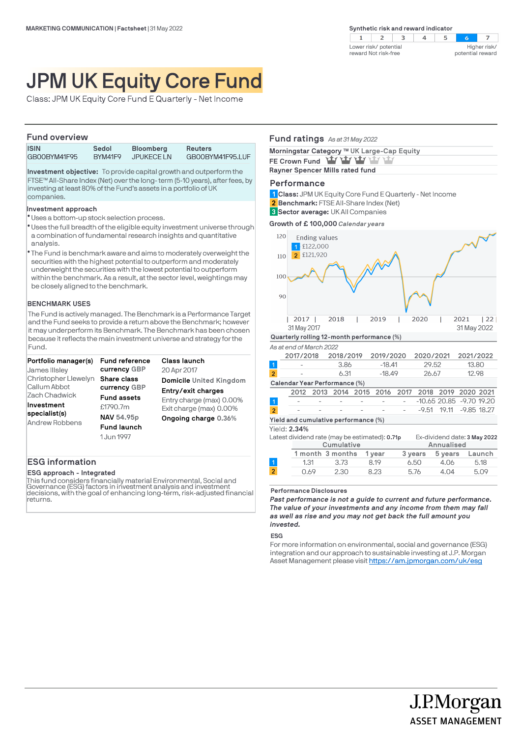$2 \mid 3$  $4$  $\overline{z}$  $\mathbf{1}$ -5  $\sim$ Higher risk/ Lower risk/ potential reward Not risk-free potential reward

# JPM UK Equity Core Fund

Class: JPM UK Equity Core Fund E Quarterly - Net Income

### **Fund overview**

| <u>I UIIU UVUIVIUV</u> |         |                  |                  |
|------------------------|---------|------------------|------------------|
| <b>ISIN</b>            | Sedol   | <b>Bloomberg</b> | <b>Reuters</b>   |
| GBOOBYM41F95           | BYM41F9 | <b>JPUKECELN</b> | GB00BYM41F95.LUF |

**Investment objective:** To provide capital growth and outperform the FTSE™ All-Share Index (Net) over the long- term (5-10 years), after fees, by investing at least 80% of the Fund's assets in a portfolio of UK companies.

### **Investment approach**

- Uses a bottom-up stock selection process. l
- \* Uses the full breadth of the eligible equity investment universe through a combination of fundamental research insights and quantitative analysis.
- The Fund is benchmark aware and aims to moderately overweight the l securities with the highest potential to outperform and moderately underweight the securities with the lowest potential to outperform within the benchmark. As a result, at the sector level, weightings may be closely aligned to the benchmark.

### **BENCHMARK USES**

The Fund is actively managed. The Benchmark is a Performance Target and the Fund seeks to provide a return above the Benchmark; however it may underperform its Benchmark. The Benchmark has been chosen because it reflects the main investment universe and strategy for the Fund.

| Portfolio manager(s)<br>James IIIsley  | <b>Fund reference</b><br>currency GBP | Class launch                                        |
|----------------------------------------|---------------------------------------|-----------------------------------------------------|
| Christopher Llewelyn                   | Share class                           | 20 Apr 2017<br><b>Domicile United Kingdom</b>       |
| Callum Abbot<br>Zach Chadwick          | currency GBP<br><b>Fund assets</b>    | Entry/exit charges                                  |
| Investment                             | £1790.7m                              | Entry charge (max) 0.00%<br>Exit charge (max) 0.00% |
| specialist(s)<br><b>Andrew Robbens</b> | NAV 54.95p                            | Ongoing charge 0.36%                                |
|                                        | <b>Fund launch</b><br>1 Jun 1997      |                                                     |

### **ESG information**

**ESG approach - Integrated**

This fund considers financially material Environmental, Social and Governance (ESG) factors in investment analysis and investment decisions, with the goal of enhancing long-term, risk-adjusted financial returns.

### **Fund ratings** *As at 31 May 2022*

| Morningstar Category ™ UK Large-Cap Equity |  |  |
|--------------------------------------------|--|--|
| FE Crown Fund Yay Yay Yay Yay Yay          |  |  |
| Rayner Spencer Mills rated fund            |  |  |
|                                            |  |  |

### **Performance**

**Class:** JPM UK Equity Core Fund E Quarterly - Net Income **1**

- **Benchmark:** FTSE All-Share Index (Net) **2**
- **Sector average:** UK All Companies **3**

**Growth of £ 100,000** *Calendar years*



### **Performance Disclosures**

*Past performance is not a guide to current and future performance. The value of your investments and any income from them may fall as well as rise and you may not get back the full amount you invested.* 

0.69 2.30 8.23 5.76 4.04 5.09

### **ESG**

For more information on environmental, social and governance (ESG) integration and our approach to sustainable investing at J.P. Morgan Asset Management please visit https://am.jpmorgan.com/uk/esg

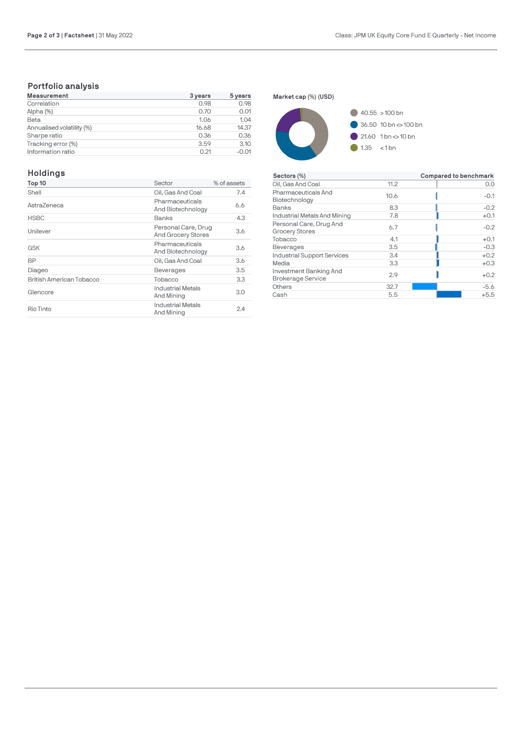## **Portfolio analysis**

| <b>Measurement</b>        | 3 years | 5 years |
|---------------------------|---------|---------|
| Correlation               | 0.98    | 0.98    |
| Alpha (%)                 | 0.70    | 0.01    |
| Beta                      | 1.06    | 1.04    |
| Annualised volatility (%) | 16.68   | 14.37   |
| Sharpe ratio              | 0.36    | 0.36    |
| Tracking error (%)        | 3.59    | 3.10    |
| Information ratio         | 0.21    | $-0.01$ |

### **Holdings**

| Top 10                   | Sector                                           | % of assets |
|--------------------------|--------------------------------------------------|-------------|
| Shell                    | Oil, Gas And Coal                                | 7.4         |
| AstraZeneca              | Pharmaceuticals<br>And Biotechnology             | 6.6         |
| <b>HSBC</b>              | Banks                                            | 4.3         |
| Unilever                 | Personal Care, Drug<br><b>And Grocery Stores</b> | 3.6         |
| <b>GSK</b>               | Pharmaceuticals<br>And Biotechnology             | 3.6         |
| <b>BP</b>                | Oil, Gas And Coal                                | 3.6         |
| Diageo                   | <b>Beverages</b>                                 | 3.5         |
| British American Tobacco | Tobacco                                          | 3.3         |
| Glencore                 | <b>Industrial Metals</b><br>And Mining           | 3.0         |
| Rio Tinto                | <b>Industrial Metals</b><br>And Mining           | 2.4         |

**Market cap (%) (USD)**



| Sectors (%)                                        |      | Compared to benchmark |
|----------------------------------------------------|------|-----------------------|
| Oil, Gas And Coal                                  | 11.2 | 0.0                   |
| Pharmaceuticals And<br>Biotechnology               | 10.6 | $-0.1$                |
| Banks                                              | 8.3  | $-0.2$                |
| Industrial Metals And Mining                       | 7.8  | $+0.1$                |
| Personal Care, Drug And<br><b>Grocery Stores</b>   | 6.7  | $-0.2$                |
| Tobacco                                            | 4.1  | $+0.1$                |
| <b>Beverages</b>                                   | 3.5  | $-0.3$                |
| Industrial Support Services                        | 3.4  | $+0.2$                |
| Media                                              | 3.3  | $+0.3$                |
| Investment Banking And<br><b>Brokerage Service</b> | 2.9  | $+0.2$                |
| Others                                             | 32.7 | $-5.6$                |
| Cash                                               | 5.5  | $+5.5$                |